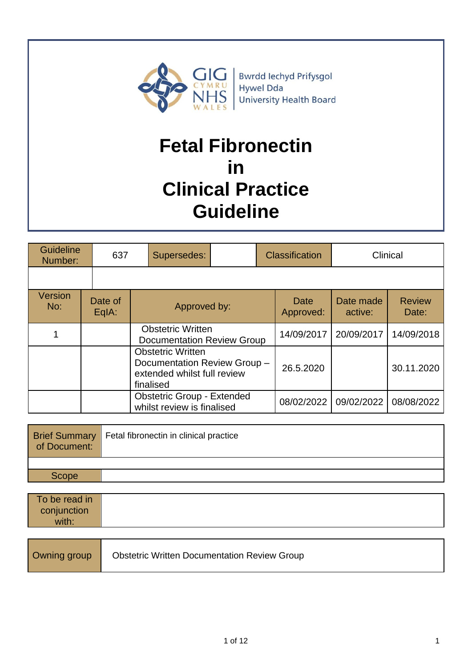

# **Fetal Fibronectin in Clinical Practice Guideline**

| <b>Guideline</b><br>Number: |  | 637                | Supersedes:                                                                                          |  |            |                   | <b>Classification</b> |                        | Clinical |
|-----------------------------|--|--------------------|------------------------------------------------------------------------------------------------------|--|------------|-------------------|-----------------------|------------------------|----------|
|                             |  |                    |                                                                                                      |  |            |                   |                       |                        |          |
| Version<br>No:              |  | Date of<br>$EqA$ : | Approved by:                                                                                         |  |            | Date<br>Approved: | Date made<br>active:  | <b>Review</b><br>Date: |          |
|                             |  |                    | <b>Obstetric Written</b><br><b>Documentation Review Group</b>                                        |  | 14/09/2017 | 20/09/2017        | 14/09/2018            |                        |          |
|                             |  |                    | <b>Obstetric Written</b><br>Documentation Review Group -<br>extended whilst full review<br>finalised |  | 26.5.2020  |                   | 30.11.2020            |                        |          |
|                             |  |                    | <b>Obstetric Group - Extended</b><br>whilst review is finalised                                      |  |            | 08/02/2022        | 09/02/2022            | 08/08/2022             |          |

| of Document: | <b>Brief Summary</b>   Fetal fibronectin in clinical practice |
|--------------|---------------------------------------------------------------|
|              |                                                               |
| Scope        |                                                               |

| To be read in |  |
|---------------|--|
| conjunction   |  |
| with:         |  |

| Owning group | <b>Obstetric Written Documentation Review Group</b> |
|--------------|-----------------------------------------------------|
|--------------|-----------------------------------------------------|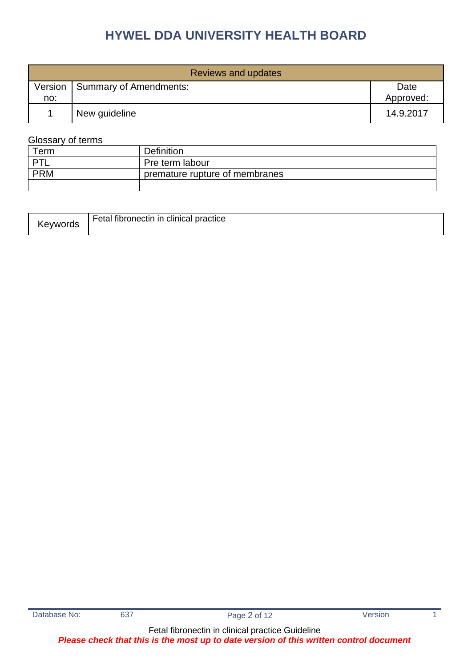| Reviews and updates |                        |                   |  |  |
|---------------------|------------------------|-------------------|--|--|
| Version<br>no:      | Summary of Amendments: | Date<br>Approved: |  |  |
|                     | New guideline          | 14.9.2017         |  |  |

### Glossary of terms

| Term       | <b>Definition</b>              |
|------------|--------------------------------|
| 'דם        | Pre term labour                |
| <b>PRM</b> | premature rupture of membranes |
|            |                                |

| Fetal fibronectin in clinical practice<br>™evworas |
|----------------------------------------------------|
|----------------------------------------------------|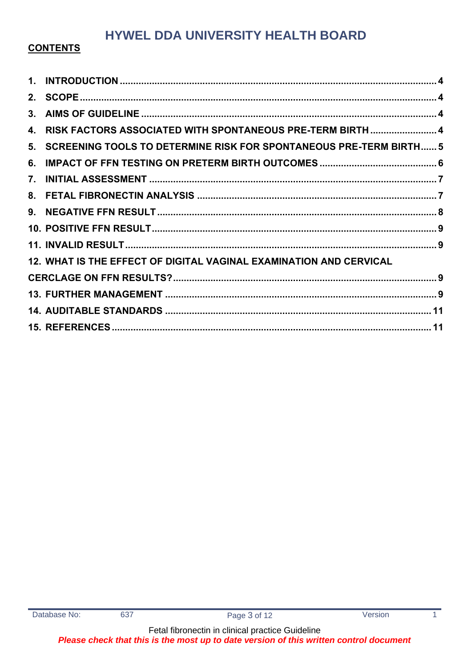### **CONTENTS**

| $\mathbf 1$ . |                                                                    |  |
|---------------|--------------------------------------------------------------------|--|
| 2.            |                                                                    |  |
| 3.            |                                                                    |  |
| 4.            | RISK FACTORS ASSOCIATED WITH SPONTANEOUS PRE-TERM BIRTH  4         |  |
| 5.            | SCREENING TOOLS TO DETERMINE RISK FOR SPONTANEOUS PRE-TERM BIRTH 5 |  |
| 6.            |                                                                    |  |
| 7.            |                                                                    |  |
| 8.            |                                                                    |  |
|               |                                                                    |  |
|               |                                                                    |  |
|               |                                                                    |  |
|               | 12. WHAT IS THE EFFECT OF DIGITAL VAGINAL EXAMINATION AND CERVICAL |  |
|               |                                                                    |  |
|               |                                                                    |  |
|               |                                                                    |  |
|               |                                                                    |  |

 $\mathbf{1}$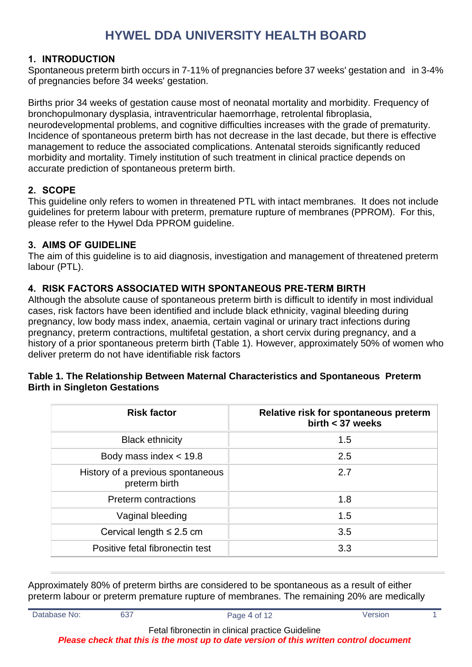#### <span id="page-3-0"></span>**1. INTRODUCTION**

Spontaneous preterm birth occurs in 7-11% of pregnancies before 37 weeks' gestation and in 3-4% of pregnancies before 34 weeks' gestation.

Births prior 34 weeks of gestation cause most of neonatal mortality and morbidity. Frequency of bronchopulmonary dysplasia, intraventricular haemorrhage, retrolental fibroplasia, neurodevelopmental problems, and cognitive difficulties increases with the grade of prematurity. Incidence of spontaneous preterm birth has not decrease in the last decade, but there is effective management to reduce the associated complications. Antenatal steroids significantly reduced morbidity and mortality. Timely institution of such treatment in clinical practice depends on accurate prediction of spontaneous preterm birth.

### <span id="page-3-1"></span>**2. SCOPE**

This guideline only refers to women in threatened PTL with intact membranes. It does not include guidelines for preterm labour with preterm, premature rupture of membranes (PPROM). For this, please refer to the Hywel Dda PPROM guideline.

#### <span id="page-3-2"></span>**3. AIMS OF GUIDELINE**

The aim of this guideline is to aid diagnosis, investigation and management of threatened preterm labour (PTL).

#### <span id="page-3-3"></span>**4. RISK FACTORS ASSOCIATED WITH SPONTANEOUS PRE-TERM BIRTH**

Although the absolute cause of spontaneous preterm birth is difficult to identify in most individual cases, risk factors have been identified and include black ethnicity, vaginal bleeding during pregnancy, low body mass index, anaemia, certain vaginal or urinary tract infections during pregnancy, preterm contractions, multifetal gestation, a short cervix during pregnancy, and a history of a prior spontaneous preterm birth (Table 1). However, approximately 50% of women who deliver preterm do not have identifiable risk factors

#### **Table 1. The Relationship Between Maternal Characteristics and Spontaneous Preterm Birth in Singleton Gestations**

| <b>Risk factor</b>                                 | Relative risk for spontaneous preterm<br>birth $<$ 37 weeks |
|----------------------------------------------------|-------------------------------------------------------------|
| <b>Black ethnicity</b>                             | 1.5                                                         |
| Body mass index $<$ 19.8                           | 2.5                                                         |
| History of a previous spontaneous<br>preterm birth | 2.7                                                         |
| <b>Preterm contractions</b>                        | 1.8                                                         |
| Vaginal bleeding                                   | 1.5                                                         |
| Cervical length $\leq 2.5$ cm                      | 3.5                                                         |
| Positive fetal fibronectin test                    | 3.3                                                         |

Approximately 80% of preterm births are considered to be spontaneous as a result of either preterm labour or preterm premature rupture of membranes. The remaining 20% are medically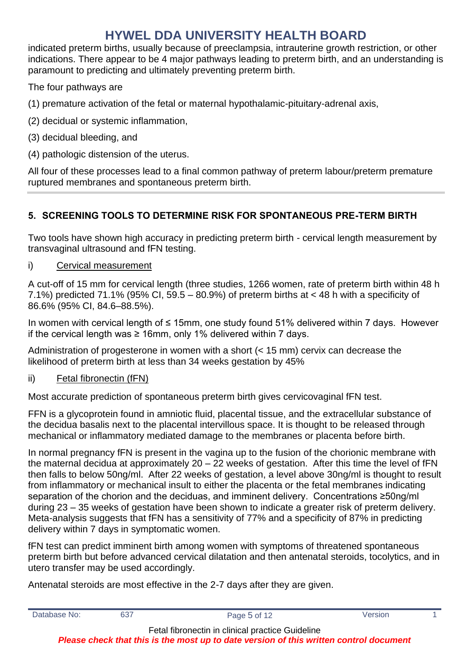indicated preterm births, usually because of preeclampsia, intrauterine growth restriction, or other indications. There appear to be 4 major pathways leading to preterm birth, and an understanding is paramount to predicting and ultimately preventing preterm birth.

The four pathways are

(1) premature activation of the fetal or maternal hypothalamic-pituitary-adrenal axis,

- (2) decidual or systemic inflammation,
- (3) decidual bleeding, and
- (4) pathologic distension of the uterus.

All four of these processes lead to a final common pathway of preterm labour/preterm premature ruptured membranes and spontaneous preterm birth.

### <span id="page-4-0"></span>**5. SCREENING TOOLS TO DETERMINE RISK FOR SPONTANEOUS PRE-TERM BIRTH**

Two tools have shown high accuracy in predicting preterm birth - cervical length measurement by transvaginal ultrasound and fFN testing.

### i) Cervical measurement

A cut-off of 15 mm for cervical length (three studies, 1266 women, rate of preterm birth within 48 h 7.1%) predicted 71.1% (95% CI, 59.5 – 80.9%) of preterm births at < 48 h with a specificity of 86.6% (95% CI, 84.6–88.5%).

In women with cervical length of ≤ 15mm, one study found 51% delivered within 7 days. However if the cervical length was ≥ 16mm, only 1% delivered within 7 days.

Administration of progesterone in women with a short (< 15 mm) cervix can decrease the likelihood of preterm birth at less than 34 weeks gestation by 45%

### ii) Fetal fibronectin (fFN)

Most accurate prediction of spontaneous preterm birth gives cervicovaginal fFN test.

FFN is a glycoprotein found in amniotic fluid, placental tissue, and the extracellular substance of the decidua basalis next to the placental intervillous space. It is thought to be released through mechanical or inflammatory mediated damage to the membranes or placenta before birth.

In normal pregnancy fFN is present in the vagina up to the fusion of the chorionic membrane with the maternal decidua at approximately 20 – 22 weeks of gestation. After this time the level of fFN then falls to below 50ng/ml. After 22 weeks of gestation, a level above 30ng/ml is thought to result from inflammatory or mechanical insult to either the placenta or the fetal membranes indicating separation of the chorion and the deciduas, and imminent delivery. Concentrations ≥50ng/ml during 23 – 35 weeks of gestation have been shown to indicate a greater risk of preterm delivery. Meta-analysis suggests that fFN has a sensitivity of 77% and a specificity of 87% in predicting delivery within 7 days in symptomatic women.

fFN test can predict imminent birth among women with symptoms of threatened spontaneous preterm birth but before advanced cervical dilatation and then antenatal steroids, tocolytics, and in utero transfer may be used accordingly.

Antenatal steroids are most effective in the 2-7 days after they are given.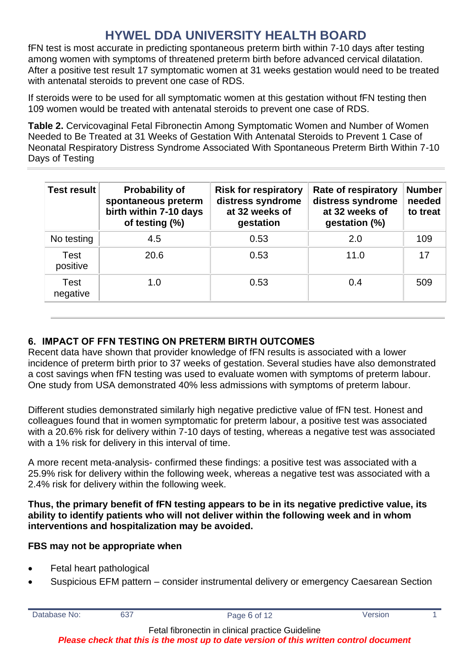fFN test is most accurate in predicting spontaneous preterm birth within 7-10 days after testing among women with symptoms of threatened preterm birth before advanced cervical dilatation. After a positive test result 17 symptomatic women at 31 weeks gestation would need to be treated with antenatal steroids to prevent one case of RDS.

If steroids were to be used for all symptomatic women at this gestation without fFN testing then 109 women would be treated with antenatal steroids to prevent one case of RDS.

**Table 2.** Cervicovaginal Fetal Fibronectin Among Symptomatic Women and Number of Women Needed to Be Treated at 31 Weeks of Gestation With Antenatal Steroids to Prevent 1 Case of Neonatal Respiratory Distress Syndrome Associated With Spontaneous Preterm Birth Within 7-10 Days of Testing

| <b>Test result</b><br><b>Probability of</b><br>spontaneous preterm<br>birth within 7-10 days<br>of testing (%) |      | <b>Risk for respiratory</b><br>distress syndrome<br>at 32 weeks of<br>gestation | Rate of respiratory<br>distress syndrome<br>at 32 weeks of<br>gestation (%) | <b>Number</b><br>needed<br>to treat |
|----------------------------------------------------------------------------------------------------------------|------|---------------------------------------------------------------------------------|-----------------------------------------------------------------------------|-------------------------------------|
| No testing                                                                                                     | 4.5  | 0.53                                                                            | 2.0                                                                         | 109                                 |
| Test<br>positive                                                                                               | 20.6 | 0.53                                                                            | 11.0                                                                        | 17                                  |
| Test<br>negative                                                                                               | 1.0  | 0.53                                                                            | 0.4                                                                         | 509                                 |

### <span id="page-5-0"></span>**6. IMPACT OF FFN TESTING ON PRETERM BIRTH OUTCOMES**

Recent data have shown that provider knowledge of fFN results is associated with a lower incidence of preterm birth prior to 37 weeks of gestation. Several studies have also demonstrated a cost savings when fFN testing was used to evaluate women with symptoms of preterm labour. One study from USA demonstrated 40% less admissions with symptoms of preterm labour.

Different studies demonstrated similarly high negative predictive value of fFN test. Honest and colleagues found that in women symptomatic for preterm labour, a positive test was associated with a 20.6% risk for delivery within 7-10 days of testing, whereas a negative test was associated with a 1% risk for delivery in this interval of time.

A more recent meta-analysis- confirmed these findings: a positive test was associated with a 25.9% risk for delivery within the following week, whereas a negative test was associated with a 2.4% risk for delivery within the following week.

#### **Thus, the primary benefit of fFN testing appears to be in its negative predictive value, its ability to identify patients who will not deliver within the following week and in whom interventions and hospitalization may be avoided.**

#### **FBS may not be appropriate when**

- Fetal heart pathological
- Suspicious EFM pattern consider instrumental delivery or emergency Caesarean Section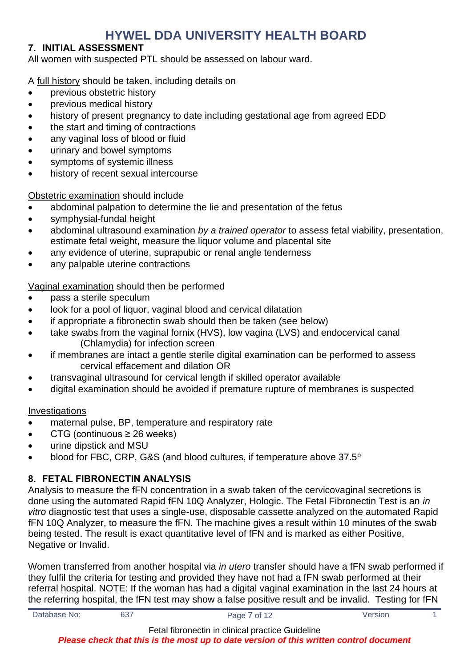#### <span id="page-6-0"></span>**7. INITIAL ASSESSMENT**

All women with suspected PTL should be assessed on labour ward.

A full history should be taken, including details on

- previous obstetric history
- previous medical history
- history of present pregnancy to date including gestational age from agreed EDD
- the start and timing of contractions
- any vaginal loss of blood or fluid
- urinary and bowel symptoms
- symptoms of systemic illness
- history of recent sexual intercourse

Obstetric examination should include

- abdominal palpation to determine the lie and presentation of the fetus
- symphysial-fundal height
- abdominal ultrasound examination *by a trained operator* to assess fetal viability, presentation, estimate fetal weight, measure the liquor volume and placental site
- any evidence of uterine, suprapubic or renal angle tenderness
- any palpable uterine contractions

### Vaginal examination should then be performed

- pass a sterile speculum
- look for a pool of liquor, vaginal blood and cervical dilatation
- if appropriate a fibronectin swab should then be taken (see below)
- take swabs from the vaginal fornix (HVS), low vagina (LVS) and endocervical canal (Chlamydia) for infection screen
- if membranes are intact a gentle sterile digital examination can be performed to assess cervical effacement and dilation OR
- transvaginal ultrasound for cervical length if skilled operator available
- digital examination should be avoided if premature rupture of membranes is suspected

#### Investigations

- maternal pulse, BP, temperature and respiratory rate
- CTG (continuous  $\geq$  26 weeks)
- urine dipstick and MSU
- blood for FBC, CRP, G&S (and blood cultures, if temperature above 37.5°

### <span id="page-6-1"></span>**8. FETAL FIBRONECTIN ANALYSIS**

Analysis to measure the fFN concentration in a swab taken of the cervicovaginal secretions is done using the automated Rapid fFN 10Q Analyzer, Hologic. The Fetal Fibronectin Test is an *in vitro* diagnostic test that uses a single-use, disposable cassette analyzed on the automated Rapid fFN 10Q Analyzer, to measure the fFN. The machine gives a result within 10 minutes of the swab being tested. The result is exact quantitative level of fFN and is marked as either Positive, Negative or Invalid.

Women transferred from another hospital via *in utero* transfer should have a fFN swab performed if they fulfil the criteria for testing and provided they have not had a fFN swab performed at their referral hospital. NOTE: If the woman has had a digital vaginal examination in the last 24 hours at the referring hospital, the fFN test may show a false positive result and be invalid. Testing for fFN

Fetal fibronectin in clinical practice Guideline

*Please check that this is the most up to date version of this written control document*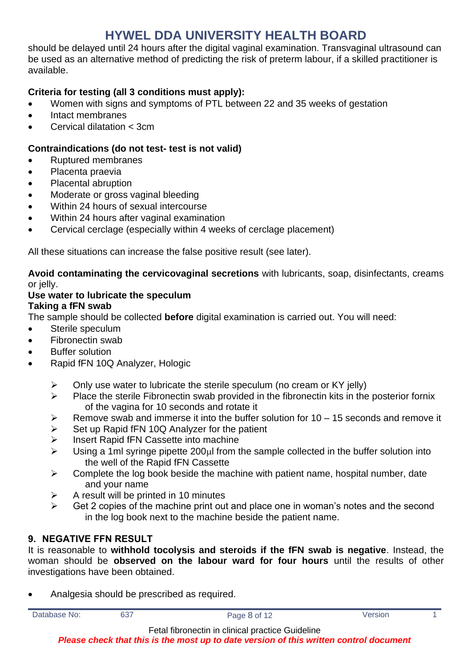should be delayed until 24 hours after the digital vaginal examination. Transvaginal ultrasound can be used as an alternative method of predicting the risk of preterm labour, if a skilled practitioner is available.

### **Criteria for testing (all 3 conditions must apply):**

- Women with signs and symptoms of PTL between 22 and 35 weeks of gestation
- Intact membranes
- Cervical dilatation < 3cm

### **Contraindications (do not test- test is not valid)**

- Ruptured membranes
- Placenta praevia
- Placental abruption
- Moderate or gross vaginal bleeding
- Within 24 hours of sexual intercourse
- Within 24 hours after vaginal examination
- Cervical cerclage (especially within 4 weeks of cerclage placement)

All these situations can increase the false positive result (see later).

**Avoid contaminating the cervicovaginal secretions** with lubricants, soap, disinfectants, creams or jelly.

#### **Use water to lubricate the speculum Taking a fFN swab**

The sample should be collected **before** digital examination is carried out. You will need:

- Sterile speculum
- Fibronectin swab
- **Buffer solution**
- Rapid fFN 10Q Analyzer, Hologic
	- $\triangleright$  Only use water to lubricate the sterile speculum (no cream or KY jelly)
	- ➢ Place the sterile Fibronectin swab provided in the fibronectin kits in the posterior fornix of the vagina for 10 seconds and rotate it
	- $\triangleright$  Remove swab and immerse it into the buffer solution for 10 15 seconds and remove it
	- Set up Rapid fFN 10Q Analyzer for the patient
	- ➢ Insert Rapid fFN Cassette into machine
	- $\triangleright$  Using a 1ml syringe pipette 200 $\mu$ l from the sample collected in the buffer solution into the well of the Rapid fFN Cassette
	- $\triangleright$  Complete the log book beside the machine with patient name, hospital number, date and your name
	- $\triangleright$  A result will be printed in 10 minutes
	- $\triangleright$  Get 2 copies of the machine print out and place one in woman's notes and the second in the log book next to the machine beside the patient name.

### <span id="page-7-0"></span>**9. NEGATIVE FFN RESULT**

It is reasonable to **withhold tocolysis and steroids if the fFN swab is negative**. Instead, the woman should be **observed on the labour ward for four hours** until the results of other investigations have been obtained.

• Analgesia should be prescribed as required.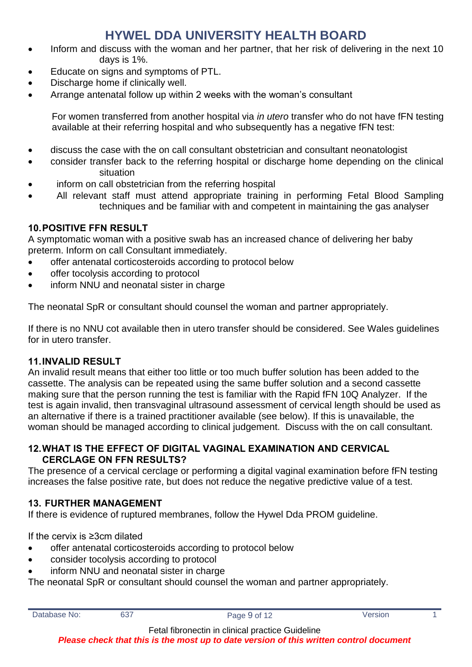- Inform and discuss with the woman and her partner, that her risk of delivering in the next 10 days is 1%.
- Educate on signs and symptoms of PTL.
- Discharge home if clinically well.
- Arrange antenatal follow up within 2 weeks with the woman's consultant

For women transferred from another hospital via *in utero* transfer who do not have fFN testing available at their referring hospital and who subsequently has a negative fFN test:

- discuss the case with the on call consultant obstetrician and consultant neonatologist
- consider transfer back to the referring hospital or discharge home depending on the clinical situation
- inform on call obstetrician from the referring hospital
- All relevant staff must attend appropriate training in performing Fetal Blood Sampling techniques and be familiar with and competent in maintaining the gas analyser

### <span id="page-8-0"></span>**10.POSITIVE FFN RESULT**

A symptomatic woman with a positive swab has an increased chance of delivering her baby preterm. Inform on call Consultant immediately.

- offer antenatal corticosteroids according to protocol below
- offer tocolysis according to protocol
- inform NNU and neonatal sister in charge

The neonatal SpR or consultant should counsel the woman and partner appropriately.

If there is no NNU cot available then in utero transfer should be considered. See Wales guidelines for in utero transfer.

#### <span id="page-8-1"></span>**11.INVALID RESULT**

An invalid result means that either too little or too much buffer solution has been added to the cassette. The analysis can be repeated using the same buffer solution and a second cassette making sure that the person running the test is familiar with the Rapid fFN 10Q Analyzer. If the test is again invalid, then transvaginal ultrasound assessment of cervical length should be used as an alternative if there is a trained practitioner available (see below). If this is unavailable, the woman should be managed according to clinical judgement. Discuss with the on call consultant.

#### <span id="page-8-2"></span>**12.WHAT IS THE EFFECT OF DIGITAL VAGINAL EXAMINATION AND CERVICAL CERCLAGE ON FFN RESULTS?**

The presence of a cervical cerclage or performing a digital vaginal examination before fFN testing increases the false positive rate, but does not reduce the negative predictive value of a test.

### <span id="page-8-3"></span>**13. FURTHER MANAGEMENT**

If there is evidence of ruptured membranes, follow the Hywel Dda PROM guideline.

If the cervix is ≥3cm dilated

- offer antenatal corticosteroids according to protocol below
- consider tocolysis according to protocol
- inform NNU and neonatal sister in charge

The neonatal SpR or consultant should counsel the woman and partner appropriately.

Fetal fibronectin in clinical practice Guideline

*Please check that this is the most up to date version of this written control document*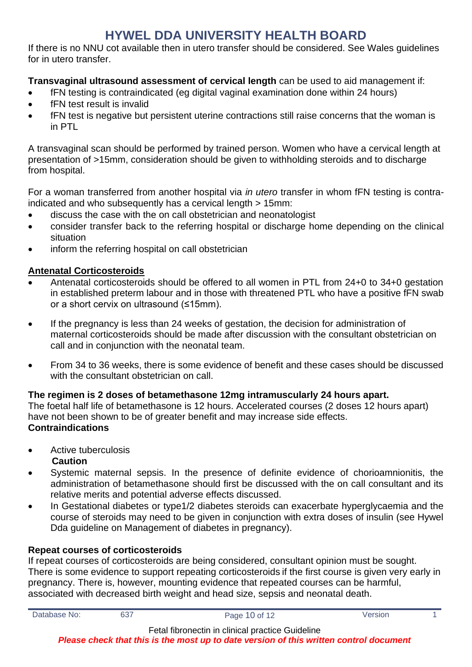If there is no NNU cot available then in utero transfer should be considered. See Wales guidelines for in utero transfer.

**Transvaginal ultrasound assessment of cervical length** can be used to aid management if:

- fFN testing is contraindicated (eg digital vaginal examination done within 24 hours)
- fFN test result is invalid
- fFN test is negative but persistent uterine contractions still raise concerns that the woman is in PTL

A transvaginal scan should be performed by trained person. Women who have a cervical length at presentation of >15mm, consideration should be given to withholding steroids and to discharge from hospital.

For a woman transferred from another hospital via *in utero* transfer in whom fFN testing is contraindicated and who subsequently has a cervical length > 15mm:

- discuss the case with the on call obstetrician and neonatologist
- consider transfer back to the referring hospital or discharge home depending on the clinical situation
- inform the referring hospital on call obstetrician

# **Antenatal Corticosteroids**

- Antenatal corticosteroids should be offered to all women in PTL from 24+0 to 34+0 gestation in established preterm labour and in those with threatened PTL who have a positive fFN swab or a short cervix on ultrasound (≤15mm).
- If the pregnancy is less than 24 weeks of gestation, the decision for administration of maternal corticosteroids should be made after discussion with the consultant obstetrician on call and in conjunction with the neonatal team.
- From 34 to 36 weeks, there is some evidence of benefit and these cases should be discussed with the consultant obstetrician on call.

### **The regimen is 2 doses of betamethasone 12mg intramuscularly 24 hours apart.**

The foetal half life of betamethasone is 12 hours. Accelerated courses (2 doses 12 hours apart) have not been shown to be of greater benefit and may increase side effects. **Contraindications**

- Active tuberculosis **Caution**
- Systemic maternal sepsis. In the presence of definite evidence of chorioamnionitis, the administration of betamethasone should first be discussed with the on call consultant and its relative merits and potential adverse effects discussed.
- In Gestational diabetes or type1/2 diabetes steroids can exacerbate hyperglycaemia and the course of steroids may need to be given in conjunction with extra doses of insulin (see Hywel Dda guideline on Management of diabetes in pregnancy).

# **Repeat courses of corticosteroids**

If repeat courses of corticosteroids are being considered, consultant opinion must be sought. There is some evidence to support repeating corticosteroids if the first course is given very early in pregnancy. There is, however, mounting evidence that repeated courses can be harmful, associated with decreased birth weight and head size, sepsis and neonatal death.

Fetal fibronectin in clinical practice Guideline

*Please check that this is the most up to date version of this written control document*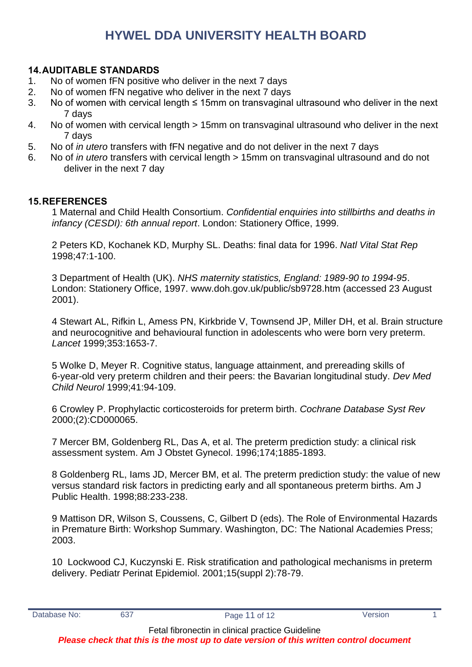#### <span id="page-10-0"></span>**14.AUDITABLE STANDARDS**

- 1. No of women fFN positive who deliver in the next 7 days
- 2. No of women fFN negative who deliver in the next 7 days
- 3. No of women with cervical length ≤ 15mm on transvaginal ultrasound who deliver in the next 7 days
- 4. No of women with cervical length > 15mm on transvaginal ultrasound who deliver in the next 7 days
- 5. No of *in utero* transfers with fFN negative and do not deliver in the next 7 days
- 6. No of *in utero* transfers with cervical length > 15mm on transvaginal ultrasound and do not deliver in the next 7 day

#### <span id="page-10-1"></span>**15.REFERENCES**

1 Maternal and Child Health Consortium. *Confidential enquiries into stillbirths and deaths in infancy (CESDI): 6th annual report*. London: Stationery Office, 1999.

2 Peters KD, Kochanek KD, Murphy SL. Deaths: final data for 1996. *Natl Vital Stat Rep*  1998;47:1-100.

3 Department of Health (UK). *NHS maternity statistics, England: 1989-90 to 1994-95*. London: Stationery Office, 1997. www.doh.gov.uk/public/sb9728.htm (accessed 23 August 2001).

4 Stewart AL, Rifkin L, Amess PN, Kirkbride V, Townsend JP, Miller DH, et al. Brain structure and neurocognitive and behavioural function in adolescents who were born very preterm. *Lancet* 1999;353:1653-7.

5 Wolke D, Meyer R. Cognitive status, language attainment, and prereading skills of 6-year-old very preterm children and their peers: the Bavarian longitudinal study. *Dev Med Child Neurol* 1999;41:94-109.

6 Crowley P. Prophylactic corticosteroids for preterm birth. *Cochrane Database Syst Rev*  2000;(2):CD000065.

7 Mercer BM, Goldenberg RL, Das A, et al. The preterm prediction study: a clinical risk assessment system. Am J Obstet Gynecol. 1996;174;1885-1893.

8 Goldenberg RL, Iams JD, Mercer BM, et al. The preterm prediction study: the value of new versus standard risk factors in predicting early and all spontaneous preterm births. Am J Public Health. 1998;88:233-238.

9 Mattison DR, Wilson S, Coussens, C, Gilbert D (eds). The Role of Environmental Hazards in Premature Birth: Workshop Summary. Washington, DC: The National Academies Press; 2003.

10 Lockwood CJ, Kuczynski E. Risk stratification and pathological mechanisms in preterm delivery. Pediatr Perinat Epidemiol. 2001;15(suppl 2):78-79.